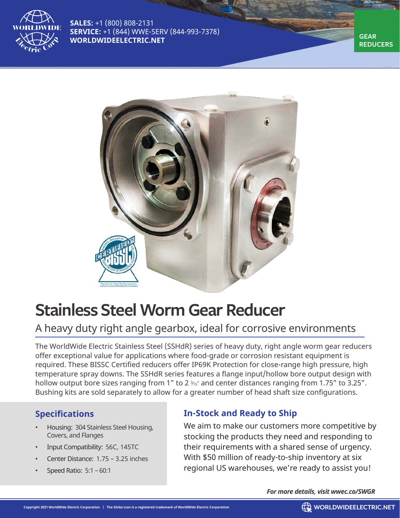

**SALES:** +1 (800) 808-2131 **SERVICE:** +1 (844) WWE-SERV (844-993-7378) **WORLDWIDEELECTRIC.NET** 

**REDUCERS**



# **Stainless Steel Worm Gear Reducer**

## A heavy duty right angle gearbox, ideal for corrosive environments

The WorldWide Electric Stainless Steel (SSHdR) series of heavy duty, right angle worm gear reducers offer exceptional value for applications where food-grade or corrosion resistant equipment is required. These BISSC Certified reducers offer IP69K Protection for close-range high pressure, high temperature spray downs. The SSHdR series features a flange input/hollow bore output design with hollow output bore sizes ranging from 1" to 2  $\frac{3}{6}$ " and center distances ranging from 1.75" to 3.25". Bushing kits are sold separately to allow for a greater number of head shaft size configurations.

### **Specifications**

- Housing: 304 Stainless Steel Housing, Covers, and Flanges
- Input Compatibility: 56C, 145TC
- Center Distance: 1.75 3.25 inches
- Speed Ratio: 5:1 60:1

### **In-Stock and Ready to Ship**

We aim to make our customers more competitive by stocking the products they need and responding to their requirements with a shared sense of urgency. With \$50 million of ready-to-ship inventory at six regional US warehouses, we're ready to assist you!

*For more details, visit wwec.co/SWGR*